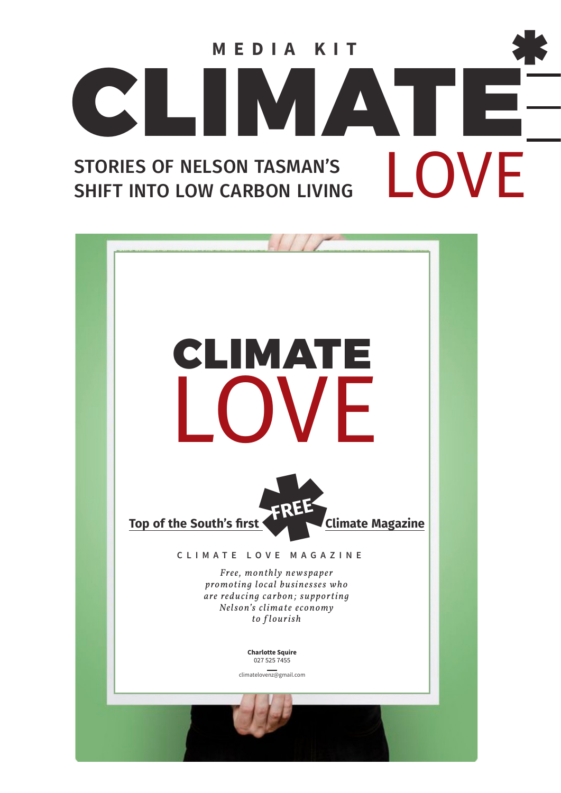

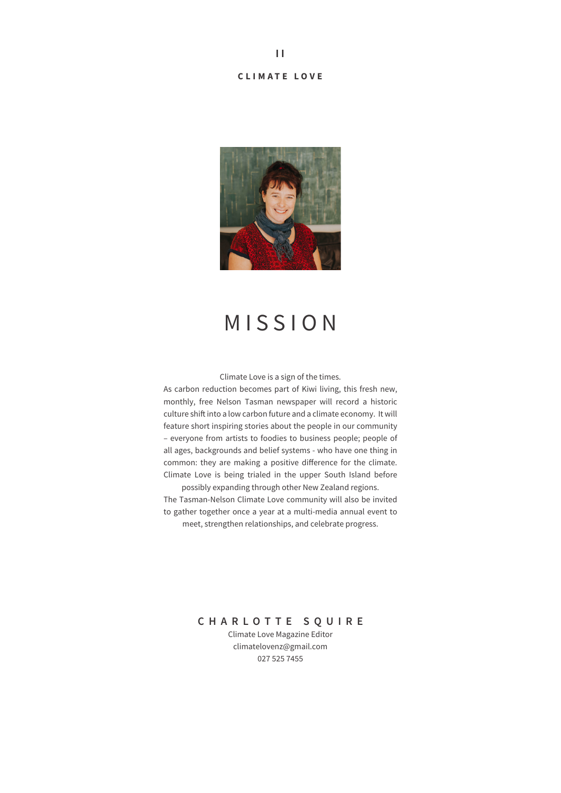#### **CLIMATE LOVE**



## MISSION

Climate Love is a sign of the times.

As carbon reduction becomes part of Kiwi living, this fresh new, monthly, free Nelson Tasman newspaper will record a historic culture shift into a low carbon future and a climate economy. It will feature short inspiring stories about the people in our community – everyone from artists to foodies to business people; people of all ages, backgrounds and belief systems - who have one thing in common: they are making a positive difference for the climate. Climate Love is being trialed in the upper South Island before possibly expanding through other New Zealand regions.

The Tasman-Nelson Climate Love community will also be invited to gather together once a year at a multi-media annual event to meet, strengthen relationships, and celebrate progress.

#### **CHARLOTTE SQUIRE**

Climate Love Magazine Editor climatelovenz@gmail.com 027 525 7455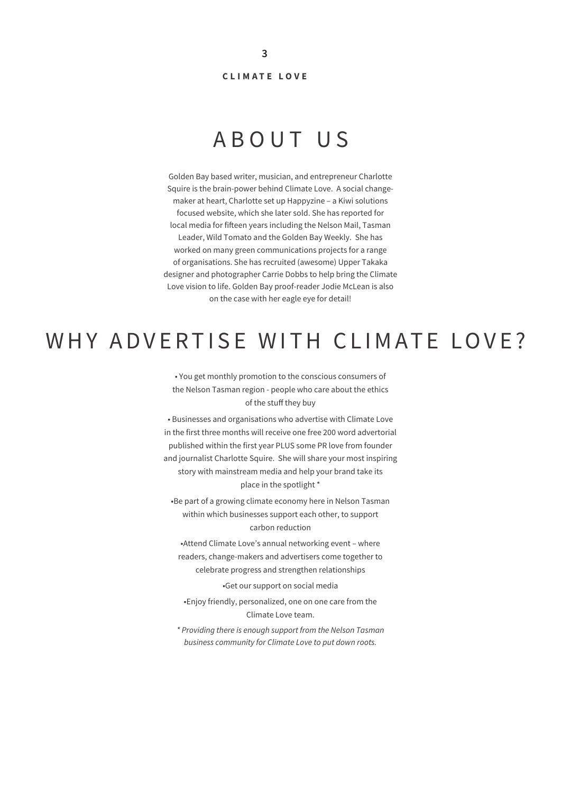#### **CLIMATE LOVE**

### ABOUT US

Golden Bay based writer, musician, and entrepreneur Charlotte Squire is the brain-power behind Climate Love. A social changemaker at heart, Charlotte set up Happyzine – a Kiwi solutions focused website, which she later sold. She has reported for local media for fifteen years including the Nelson Mail, Tasman Leader, Wild Tomato and the Golden Bay Weekly. She has worked on many green communications projects for a range of organisations. She has recruited (awesome) Upper Takaka designer and photographer Carrie Dobbs to help bring the Climate Love vision to life. Golden Bay proof-reader Jodie McLean is also on the case with her eagle eye for detail!

### WHY ADVERTISE WITH CLIMATE LOVE?

• You get monthly promotion to the conscious consumers of the Nelson Tasman region - people who care about the ethics of the stuff they buy

• Businesses and organisations who advertise with Climate Love in the first three months will receive one free 200 word advertorial published within the first year PLUS some PR love from founder and journalist Charlotte Squire. She will share your most inspiring story with mainstream media and help your brand take its place in the spotlight \*

•Be part of a growing climate economy here in Nelson Tasman within which businesses support each other, to support carbon reduction

•Attend Climate Love's annual networking event – where readers, change-makers and advertisers come together to celebrate progress and strengthen relationships

•Get our support on social media

•Enjoy friendly, personalized, one on one care from the Climate Love team.

*\* Providing there is enough support from the Nelson Tasman business community for Climate Love to put down roots.*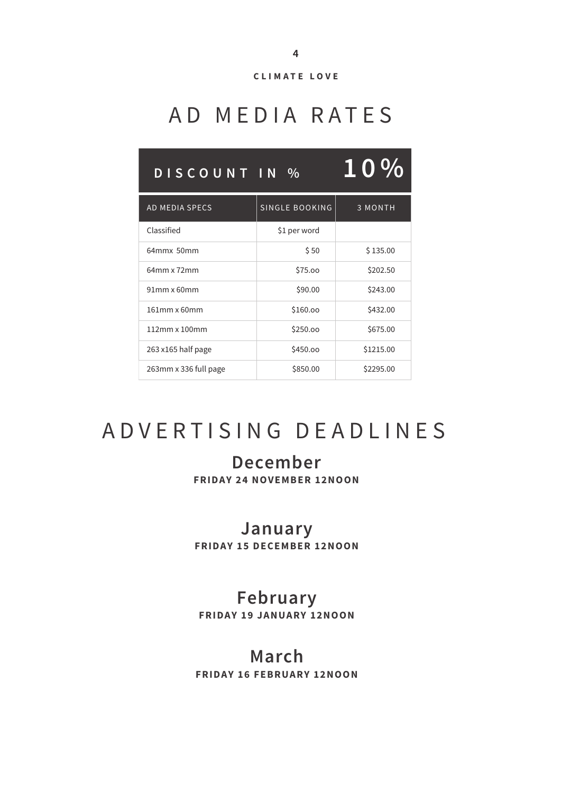

# AD MEDIA RATES

| DISCOUNT IN %         |                       | <b>10%</b>     |
|-----------------------|-----------------------|----------------|
| <b>AD MEDIA SPECS</b> | <b>SINGLE BOOKING</b> | <b>3 MONTH</b> |
| Classified            | \$1 per word          |                |
| 64mmx 50mm            | \$50                  | \$135.00       |
| 64mm x 72mm           | \$75.00               | \$202.50       |
| 91mm x 60mm           | \$90.00               | \$243.00       |
| 161mm x 60mm          | \$160.00              | \$432.00       |
| 112mm x 100mm         | \$250.00              | \$675.00       |
| 263 x165 half page    | \$450.00              | \$1215.00      |
| 263mm x 336 full page | \$850.00              | \$2295.00      |

# ADVERTISING DEADLINES

## **December**

**FRIDAY 24 NOVEMBER 12NOON**

### **January**

**FRIDAY 15 DECEMBER 12N0ON** 

### **February**

**FRIDAY 19 JANUARY 12NOON**

#### **March**

**FRIDAY 16 FEBRUARY 12NOON**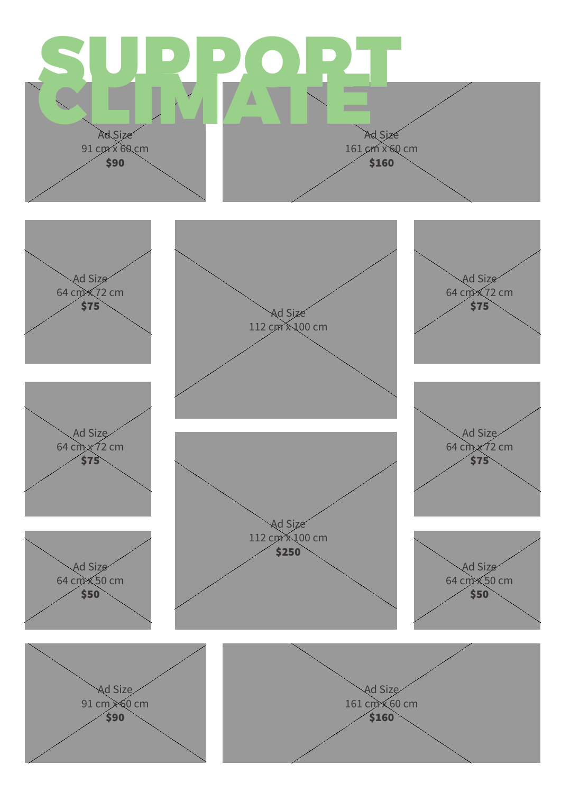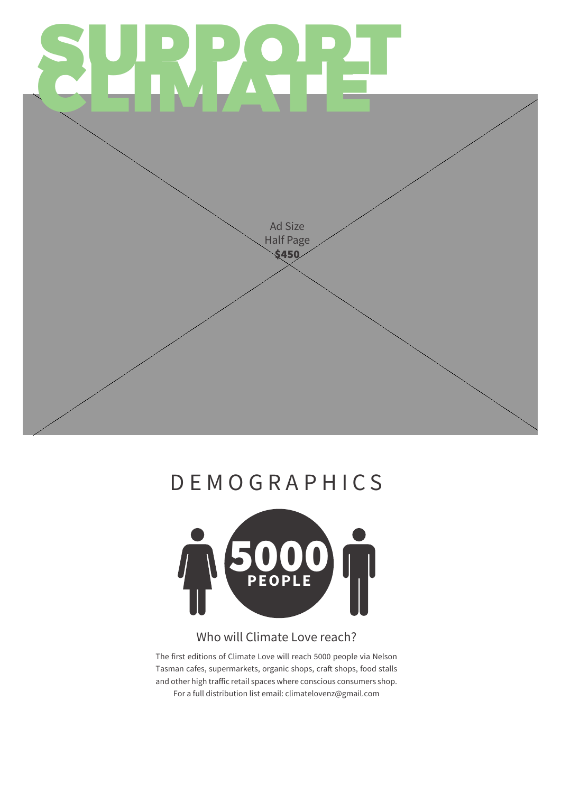

# **DEMOGRAPHICS**



#### Who will Climate Love reach?

The first editions of Climate Love will reach 5000 people via Nelson Tasman cafes, supermarkets, organic shops, craft shops, food stalls and other high traffic retail spaces where conscious consumers shop. For a full distribution list email: climatelovenz@gmail.com